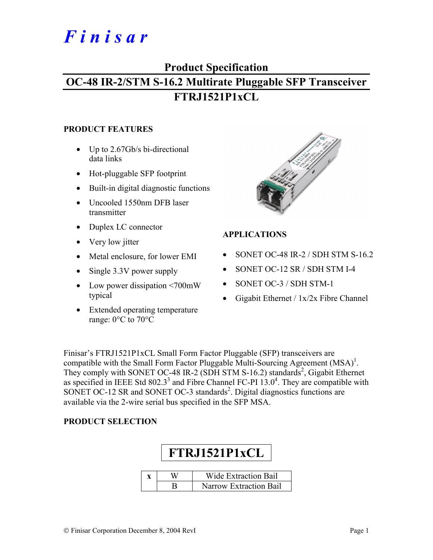# *F i n i s a r*

### **Product Specification**

## **OC-48 IR-2/STM S-16.2 Multirate Pluggable SFP Transceiver FTRJ1521P1xCL**

#### **PRODUCT FEATURES**

- Up to 2.67Gb/s bi-directional data links
- Hot-pluggable SFP footprint
- Built-in digital diagnostic functions
- Uncooled 1550nm DFB laser transmitter
- Duplex LC connector
- Very low jitter
- Metal enclosure, for lower EMI
- Single 3.3V power supply
- Low power dissipation <700mW typical
- Extended operating temperature range: 0°C to 70°C



#### **APPLICATIONS**

- SONET OC-48 IR-2 / SDH STM S-16.2
- SONET OC-12 SR / SDH STM I-4
- SONET OC-3 / SDH STM-1
- Gigabit Ethernet / 1x/2x Fibre Channel

Finisar's FTRJ1521P1xCL Small Form Factor Pluggable (SFP) transceivers are compatible with the Small Form Factor Pluggable Multi-Sourcing Agreement  $(MSA)^{1}$ . They comply with SONET OC-48 IR-2 (SDH STM S-16.2) standards<sup>2</sup>, Gigabit Ethernet as specified in IEEE Std 802.3<sup>3</sup> and Fibre Channel FC-PI  $13.0<sup>4</sup>$ . They are compatible with SONET OC-12 SR and SONET OC-3 standards<sup>2</sup>. Digital diagnostics functions are available via the 2-wire serial bus specified in the SFP MSA.

#### **PRODUCT SELECTION**

|  | FTRJ1521P1xCL               |  |  |  |  |  |  |  |
|--|-----------------------------|--|--|--|--|--|--|--|
|  |                             |  |  |  |  |  |  |  |
|  | <b>Wide Extraction Bail</b> |  |  |  |  |  |  |  |
|  | Narrow Extraction Bail      |  |  |  |  |  |  |  |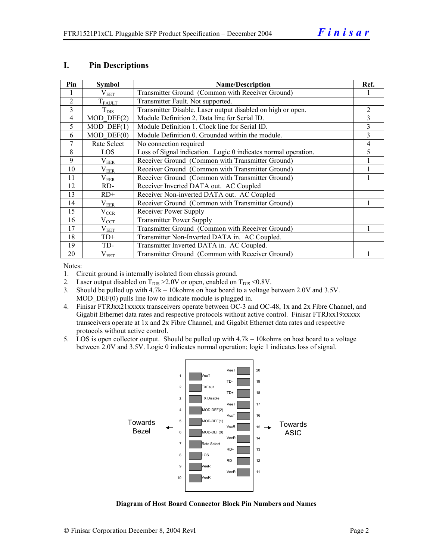#### **I. Pin Descriptions**

| Pin            | <b>Symbol</b>    | <b>Name/Description</b>                                        |                |  |  |
|----------------|------------------|----------------------------------------------------------------|----------------|--|--|
|                | $\rm V_{EET}$    | Transmitter Ground (Common with Receiver Ground)               |                |  |  |
| $\overline{2}$ | $T_{FAULT}$      | Transmitter Fault. Not supported.                              |                |  |  |
| $\overline{3}$ | $T_{\text{DIS}}$ | Transmitter Disable. Laser output disabled on high or open.    | $\overline{2}$ |  |  |
| $\overline{4}$ | $MOD$ DEF $(2)$  | Module Definition 2. Data line for Serial ID.                  | 3              |  |  |
| 5              | $MOD$ DEF $(1)$  | Module Definition 1. Clock line for Serial ID.                 | 3              |  |  |
| 6              | $MOD$ $DEF(0)$   | Module Definition 0. Grounded within the module.               | 3              |  |  |
| 7              | Rate Select      | No connection required                                         | 4              |  |  |
| 8              | LOS              | Loss of Signal indication. Logic 0 indicates normal operation. | 5              |  |  |
| 9              | $\rm V_{EER}$    | Receiver Ground (Common with Transmitter Ground)               |                |  |  |
| 10             | $\rm V_{EER}$    | Receiver Ground (Common with Transmitter Ground)               |                |  |  |
| 11             | $\rm V_{EER}$    | Receiver Ground (Common with Transmitter Ground)               |                |  |  |
| 12             | RD-              | Receiver Inverted DATA out. AC Coupled                         |                |  |  |
| 13             | $RD+$            | Receiver Non-inverted DATA out. AC Coupled                     |                |  |  |
| 14             | $\rm V_{EER}$    | Receiver Ground (Common with Transmitter Ground)               |                |  |  |
| 15             | $\rm V_{CCR}$    | Receiver Power Supply                                          |                |  |  |
| 16             | $V_{\rm CCT}$    | <b>Transmitter Power Supply</b>                                |                |  |  |
| 17             | $\rm V_{EET}$    | Transmitter Ground (Common with Receiver Ground)               |                |  |  |
| 18             | $TD+$            | Transmitter Non-Inverted DATA in. AC Coupled.                  |                |  |  |
| 19             | TD-              | Transmitter Inverted DATA in. AC Coupled.                      |                |  |  |
| 20             | $\rm V_{EET}$    | Transmitter Ground (Common with Receiver Ground)               |                |  |  |

Notes:

1. Circuit ground is internally isolated from chassis ground.

2. Laser output disabled on  $T_{DIS} > 2.0V$  or open, enabled on  $T_{DIS} < 0.8V$ .

3. Should be pulled up with 4.7k – 10kohms on host board to a voltage between 2.0V and 3.5V. MOD DEF(0) pulls line low to indicate module is plugged in.

- 4. Finisar FTRJxx21xxxxx transceivers operate between OC-3 and OC-48, 1x and 2x Fibre Channel, and Gigabit Ethernet data rates and respective protocols without active control. Finisar FTRJxx19xxxxx transceivers operate at 1x and 2x Fibre Channel, and Gigabit Ethernet data rates and respective protocols without active control.
- 5. LOS is open collector output. Should be pulled up with 4.7k 10kohms on host board to a voltage between 2.0V and 3.5V. Logic 0 indicates normal operation; logic 1 indicates loss of signal.



**Diagram of Host Board Connector Block Pin Numbers and Names**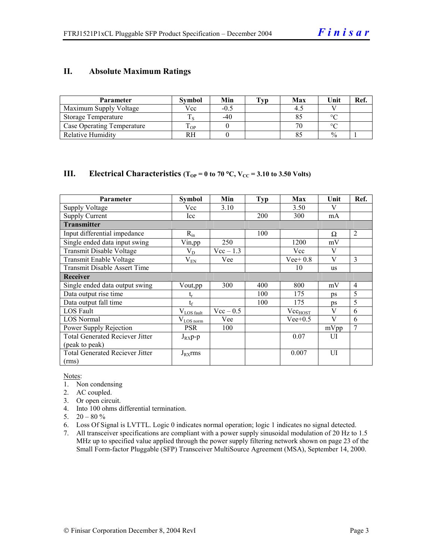#### **II. Absolute Maximum Ratings**

| Parameter                  | <b>Symbol</b> | Min    | <b>Typ</b> | Max | Unit          | Ref. |
|----------------------------|---------------|--------|------------|-----|---------------|------|
| Maximum Supply Voltage     | Vcc           | $-0.5$ |            |     |               |      |
| Storage Temperature        |               | -40    |            |     | $\sim$        |      |
| Case Operating Temperature | OP-           |        |            |     | $\Omega$      |      |
| Relative Humidity          |               |        |            |     | $\frac{0}{0}$ |      |

#### **III.** Electrical Characteristics ( $T_{OP} = 0$  to 70 °C,  $V_{CC} = 3.10$  to 3.50 Volts)

| Parameter                              | Symbol                | Min         | <b>Typ</b> | Max          | Unit         | Ref.           |
|----------------------------------------|-----------------------|-------------|------------|--------------|--------------|----------------|
| Supply Voltage                         | Vcc                   | 3.10        |            | 3.50         | V            |                |
| Supply Current                         | Icc                   |             | <b>200</b> | 300          | mA           |                |
| <b>Transmitter</b>                     |                       |             |            |              |              |                |
| Input differential impedance           | $R_{in}$              |             | 100        |              | Ω            | $\overline{2}$ |
| Single ended data input swing          | Vin, pp               | 250         |            | 1200         | mV           |                |
| Transmit Disable Voltage               | $V_D$                 | $Vec-1.3$   |            | Vcc          | V            |                |
| Transmit Enable Voltage                | $V_{EN}$              | Vee         |            | Vee + $0.8$  | V            | 3              |
| <b>Transmit Disable Assert Time</b>    |                       |             |            | 10           | us           |                |
| <b>Receiver</b>                        |                       |             |            |              |              |                |
| Single ended data output swing         | Vout,pp               | 300         | 400        | 800          | mV           | $\overline{4}$ |
| Data output rise time                  |                       |             | 100        | 175          | ps           | 5              |
| Data output fall time                  | $t_{\rm f}$           |             | 100        | 175          | ps           | 5              |
| LOS Fault                              | $V_{LOS\_fault}$      | $Vec - 0.5$ |            | $Vec_{HOST}$ | $\mathbf{V}$ | 6              |
| <b>LOS</b> Normal                      | $V_{\text{LOS norm}}$ | Vee         |            | $Vee+0.5$    | V            | 6              |
| Power Supply Rejection                 | <b>PSR</b>            | 100         |            |              | mVpp         | $\overline{7}$ |
| <b>Total Generated Reciever Jitter</b> | $J_{RX}p-p$           |             |            | 0.07         | UI           |                |
| (peak to peak)                         |                       |             |            |              |              |                |
| <b>Total Generated Reciever Jitter</b> | $J_{RX}$ rms          |             |            | 0.007        | UI           |                |
| (rms)                                  |                       |             |            |              |              |                |

Notes:

- 1. Non condensing
- 2. AC coupled.
- 3. Or open circuit.
- 4. Into 100 ohms differential termination.
- 5.  $20 80 \%$
- 6. Loss Of Signal is LVTTL. Logic 0 indicates normal operation; logic 1 indicates no signal detected.
- 7. All transceiver specifications are compliant with a power supply sinusoidal modulation of 20 Hz to 1.5 MHz up to specified value applied through the power supply filtering network shown on page 23 of the Small Form-factor Pluggable (SFP) Transceiver MultiSource Agreement (MSA), September 14, 2000.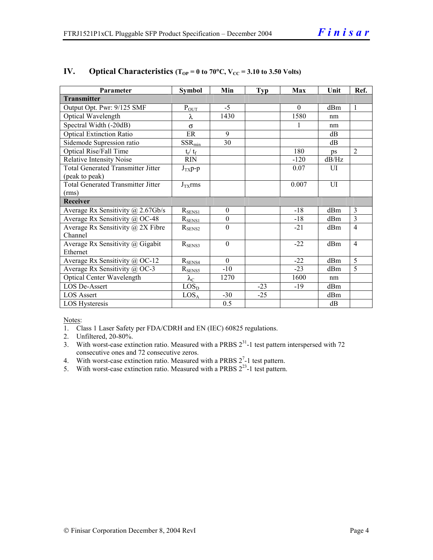| Parameter                                 | <b>Symbol</b>           | Min              | <b>Typ</b> | Max      | Unit           | Ref.                    |
|-------------------------------------------|-------------------------|------------------|------------|----------|----------------|-------------------------|
| <b>Transmitter</b>                        |                         |                  |            |          |                |                         |
| Output Opt. Pwr: 9/125 SMF                | $P_{OUT}$               | $-5$             |            | $\Omega$ | dBm            | 1                       |
| Optical Wavelength                        | λ                       | 1430             |            | 1580     | nm             |                         |
| Spectral Width (-20dB)                    | $\sigma$                |                  |            |          | nm             |                         |
| <b>Optical Extinction Ratio</b>           | ER                      | 9                |            |          | dB             |                         |
| Sidemode Supression ratio                 | $SSR_{min}$             | 30               |            |          | dB             |                         |
| Optical Rise/Fall Time                    | $t_{\rm r} / t_{\rm f}$ |                  |            | 180      | ps             | $\overline{2}$          |
| <b>Relative Intensity Noise</b>           | <b>RIN</b>              |                  |            | $-120$   | dB/Hz          |                         |
| <b>Total Generated Transmitter Jitter</b> | $J_{TX}p-p$             |                  |            | 0.07     | UI             |                         |
| (peak to peak)                            |                         |                  |            |          |                |                         |
| <b>Total Generated Transmitter Jitter</b> | $J_{TX}$ rms            |                  |            | 0.007    | $\overline{U}$ |                         |
| (rms)                                     |                         |                  |            |          |                |                         |
| Receiver                                  |                         |                  |            |          |                |                         |
| Average Rx Sensitivity @ 2.67Gb/s         | $R_{SENS1}$             | $\boldsymbol{0}$ |            | $-18$    | dBm            | $\overline{\mathbf{3}}$ |
| Average Rx Sensitivity @ OC-48            | $R_{SENS1}$             | $\boldsymbol{0}$ |            | $-18$    | dBm            | 3                       |
| Average Rx Sensitivity $\omega$ 2X Fibre  | $R_{\rm SENS2}$         | $\theta$         |            | $-21$    | dBm            | $\overline{4}$          |
| Channel                                   |                         |                  |            |          |                |                         |
| Average Rx Sensitivity @ Gigabit          | $R_{\text{SENS3}}$      | $\theta$         |            | $-22$    | dBm            | $\overline{4}$          |
| Ethernet                                  |                         |                  |            |          |                |                         |
| Average Rx Sensitivity @ OC-12            | $R_{SENS4}$             | $\Omega$         |            | $-22$    | dBm            | 5                       |
| Average Rx Sensitivity @ OC-3             | $R_{SENS5}$             | $-10$            |            | $-23$    | dBm            | 5                       |
| <b>Optical Center Wavelength</b>          | $\lambda_{\rm C}$       | 1270             |            | 1600     | nm             |                         |
| LOS De-Assert                             | LOS <sub>D</sub>        |                  | $-23$      | $-19$    | dBm            |                         |
| <b>LOS Assert</b>                         | LOS <sub>A</sub>        | $-30$            | $-25$      |          | dBm            |                         |
| LOS Hysteresis                            |                         | 0.5              |            |          | dB             |                         |

#### **IV.** Optical Characteristics ( $T_{OP} = 0$  to 70°C,  $V_{CC} = 3.10$  to 3.50 Volts)

Notes:

- 1. Class 1 Laser Safety per FDA/CDRH and EN (IEC) 60825 regulations.
- 2. Unfiltered, 20-80%.
- 3. With worst-case extinction ratio. Measured with a PRBS  $2^{31}$ -1 test pattern interspersed with 72 consecutive ones and 72 consecutive zeros.
- 4. With worst-case extinction ratio. Measured with a PRBS  $2^7$ -1 test pattern.
- 5. With worst-case extinction ratio. Measured with a PRBS  $2^{23}$ -1 test pattern.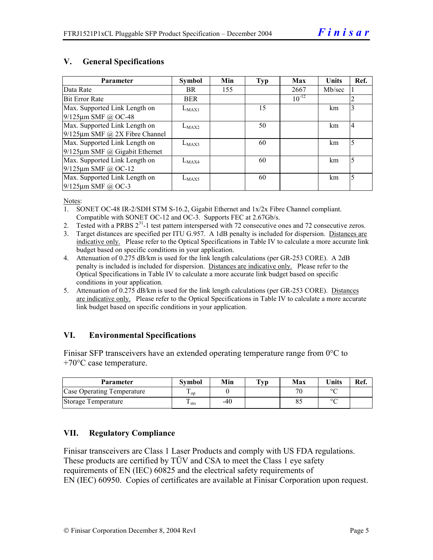#### **V. General Specifications**

| Parameter                            | <b>Symbol</b> | Min | Typ | Max        | <b>Units</b> | Ref.           |
|--------------------------------------|---------------|-----|-----|------------|--------------|----------------|
| Data Rate                            | BR.           | 155 |     | 2667       | Mb/sec       |                |
| <b>Bit Error Rate</b>                | <b>BER</b>    |     |     | $10^{-12}$ |              |                |
| Max. Supported Link Length on        | $L_{MAX1}$    |     | 15  |            | km           | 3              |
| $9/125 \mu m$ SMF @ OC-48            |               |     |     |            |              |                |
| Max. Supported Link Length on        | $L_{MAX2}$    |     | 50  |            | km           | $\overline{4}$ |
| $9/125 \mu m$ SMF @ 2X Fibre Channel |               |     |     |            |              |                |
| Max. Supported Link Length on        | $L_{MAX3}$    |     | 60  |            | km           | 5              |
| $9/125 \mu m$ SMF @ Gigabit Ethernet |               |     |     |            |              |                |
| Max. Supported Link Length on        | $L_{MAX4}$    |     | 60  |            | km           | 5              |
| $9/125 \mu m$ SMF @ OC-12            |               |     |     |            |              |                |
| Max. Supported Link Length on        | $L_{MAX5}$    |     | 60  |            | km           | 5              |
| $9/125$ µm SMF @ OC-3                |               |     |     |            |              |                |

Notes:

- 1. SONET OC-48 IR-2/SDH STM S-16.2, Gigabit Ethernet and 1x/2x Fibre Channel compliant. Compatible with SONET OC-12 and OC-3. Supports FEC at 2.67Gb/s.
- 2. Tested with a PRBS  $2^{31}$ -1 test pattern interspersed with 72 consecutive ones and 72 consecutive zeros.
- 3. Target distances are specified per ITU G.957. A 1dB penalty is included for dispersion. Distances are indicative only. Please refer to the Optical Specifications in Table IV to calculate a more accurate link budget based on specific conditions in your application.
- 4. Attenuation of 0.275 dB/km is used for the link length calculations (per GR-253 CORE). A 2dB penalty is included is included for dispersion. Distances are indicative only. Please refer to the Optical Specifications in Table IV to calculate a more accurate link budget based on specific conditions in your application.
- 5. Attenuation of 0.275 dB/km is used for the link length calculations (per GR-253 CORE). Distances are indicative only. Please refer to the Optical Specifications in Table IV to calculate a more accurate link budget based on specific conditions in your application.

#### **VI. Environmental Specifications**

Finisar SFP transceivers have an extended operating temperature range from 0°C to +70°C case temperature.

| <b>Parameter</b>           | Svmbol          | Min   | $\mathbf{T}_{\mathbf{V}\mathbf{p}}$ | Max | <b>Units</b> | Ref. |
|----------------------------|-----------------|-------|-------------------------------------|-----|--------------|------|
| Case Operating Temperature | $\mathbf{1}$ op |       |                                     | 70  | $\circ$      |      |
| Storage Temperature        | $\pm$ sto       | $-40$ |                                     | 85  | $\circ$      |      |

#### **VII. Regulatory Compliance**

Finisar transceivers are Class 1 Laser Products and comply with US FDA regulations. These products are certified by TÜV and CSA to meet the Class 1 eye safety requirements of EN (IEC) 60825 and the electrical safety requirements of EN (IEC) 60950. Copies of certificates are available at Finisar Corporation upon request.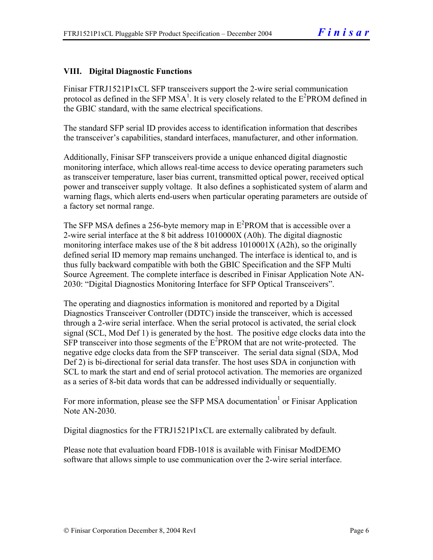#### **VIII. Digital Diagnostic Functions**

Finisar FTRJ1521P1xCL SFP transceivers support the 2-wire serial communication protocol as defined in the SFP MSA<sup>1</sup>. It is very closely related to the  $E^2$ PROM defined in the GBIC standard, with the same electrical specifications.

The standard SFP serial ID provides access to identification information that describes the transceiver's capabilities, standard interfaces, manufacturer, and other information.

Additionally, Finisar SFP transceivers provide a unique enhanced digital diagnostic monitoring interface, which allows real-time access to device operating parameters such as transceiver temperature, laser bias current, transmitted optical power, received optical power and transceiver supply voltage. It also defines a sophisticated system of alarm and warning flags, which alerts end-users when particular operating parameters are outside of a factory set normal range.

The SFP MSA defines a 256-byte memory map in  $E^2$ PROM that is accessible over a 2-wire serial interface at the 8 bit address 1010000X (A0h). The digital diagnostic monitoring interface makes use of the 8 bit address 1010001X (A2h), so the originally defined serial ID memory map remains unchanged. The interface is identical to, and is thus fully backward compatible with both the GBIC Specification and the SFP Multi Source Agreement. The complete interface is described in Finisar Application Note AN-2030: "Digital Diagnostics Monitoring Interface for SFP Optical Transceivers".

The operating and diagnostics information is monitored and reported by a Digital Diagnostics Transceiver Controller (DDTC) inside the transceiver, which is accessed through a 2-wire serial interface. When the serial protocol is activated, the serial clock signal (SCL, Mod Def 1) is generated by the host. The positive edge clocks data into the  $SFP$  transceiver into those segments of the  $E^2$ PROM that are not write-protected. The negative edge clocks data from the SFP transceiver. The serial data signal (SDA, Mod Def 2) is bi-directional for serial data transfer. The host uses SDA in conjunction with SCL to mark the start and end of serial protocol activation. The memories are organized as a series of 8-bit data words that can be addressed individually or sequentially.

For more information, please see the SFP MSA documentation<sup>1</sup> or Finisar Application Note AN-2030.

Digital diagnostics for the FTRJ1521P1xCL are externally calibrated by default.

Please note that evaluation board FDB-1018 is available with Finisar ModDEMO software that allows simple to use communication over the 2-wire serial interface.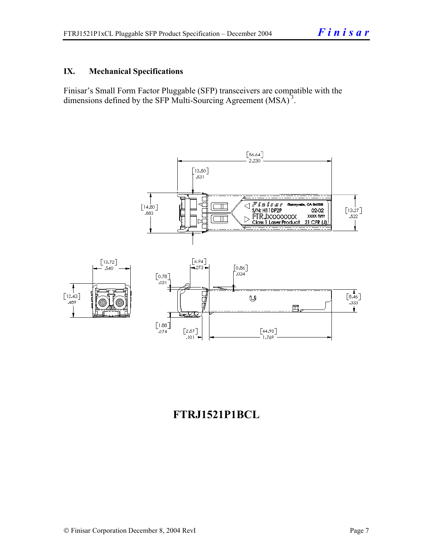#### **IX. Mechanical Specifications**

Finisar's Small Form Factor Pluggable (SFP) transceivers are compatible with the dimensions defined by the SFP Multi-Sourcing Agreement (MSA)<sup>3</sup>.



### **FTRJ1521P1BCL**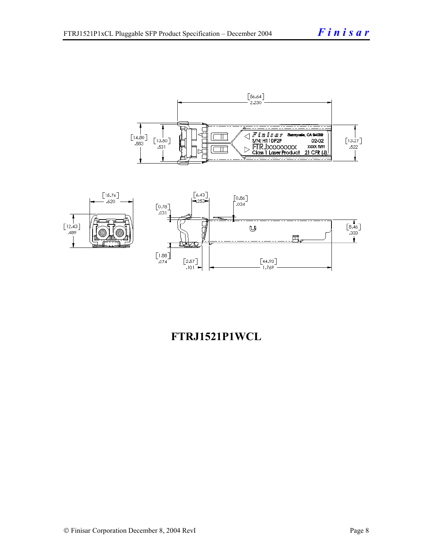



### **FTRJ1521P1WCL**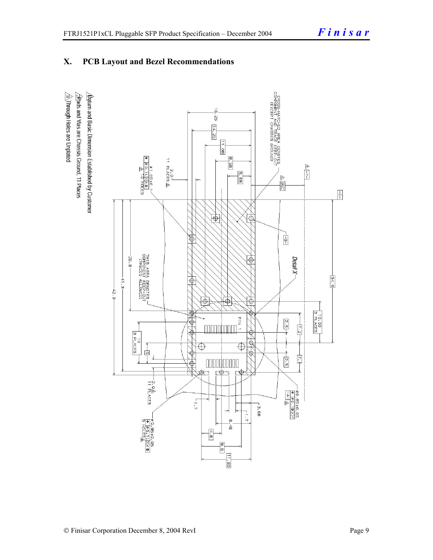#### **X. PCB Layout and Bezel Recommendations**

 $\hat{\triangle}$ Through Holes are Unplated  $\Delta$ atum and Basic Dimension Established by Customer  $\triangle$ Rads and Vias are Chassis Ground, 11 Places

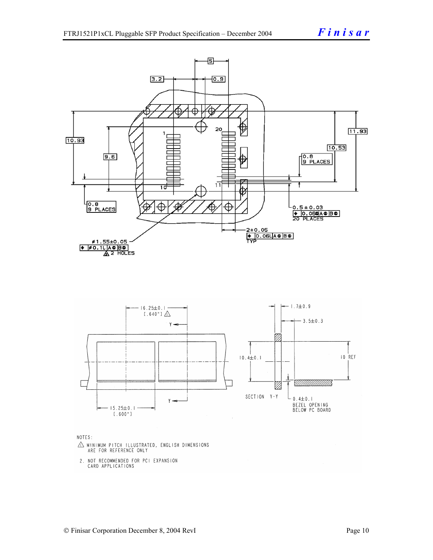

NOTES:

- $\triangle$  MINIMUM PITCH ILLUSTRATED, ENGLISH DIMENSIONS ARE FOR REFERENCE ONLY
- 2. NOT RECOMMENDED FOR PCI EXPANSION CARD APPLICATIONS